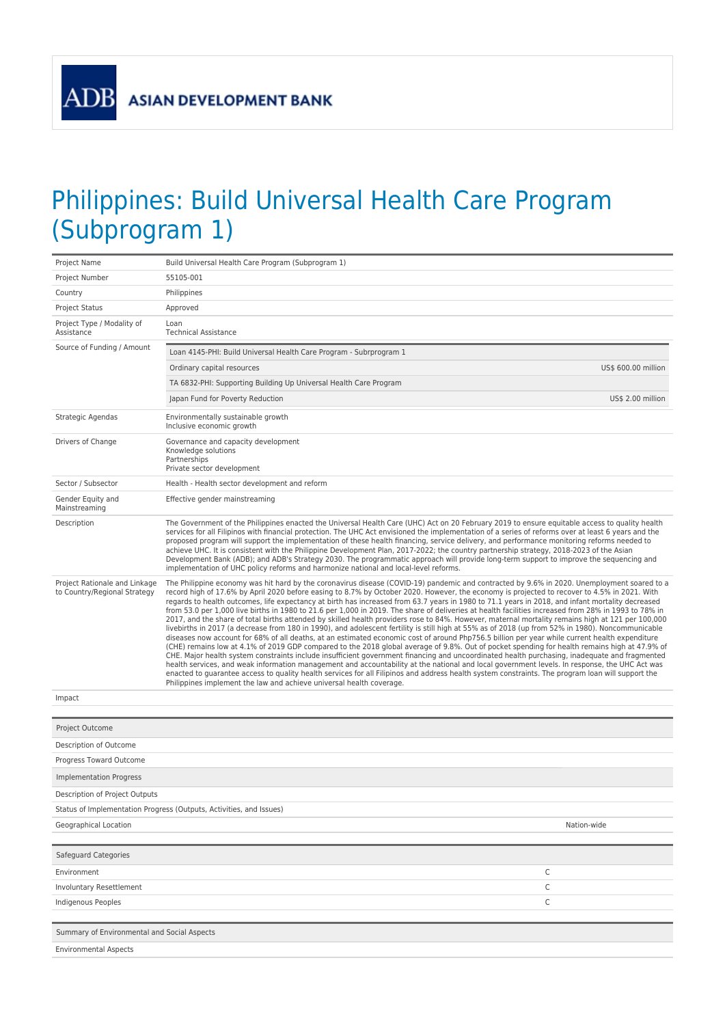## Philippines: Build Universal Health Care Program (Subprogram 1)

| Project Name                                                  | Build Universal Health Care Program (Subprogram 1)                                                                                                                                                                                                                                                                                                                                                                                                                                                                                                                                                                                                                                                                                                                                                                                                                                                                                                                                                                                                                                                                                                                                                                                                                                                                                                                                                                                                                                                                                                                                                                                                                                                                                                  |                     |  |
|---------------------------------------------------------------|-----------------------------------------------------------------------------------------------------------------------------------------------------------------------------------------------------------------------------------------------------------------------------------------------------------------------------------------------------------------------------------------------------------------------------------------------------------------------------------------------------------------------------------------------------------------------------------------------------------------------------------------------------------------------------------------------------------------------------------------------------------------------------------------------------------------------------------------------------------------------------------------------------------------------------------------------------------------------------------------------------------------------------------------------------------------------------------------------------------------------------------------------------------------------------------------------------------------------------------------------------------------------------------------------------------------------------------------------------------------------------------------------------------------------------------------------------------------------------------------------------------------------------------------------------------------------------------------------------------------------------------------------------------------------------------------------------------------------------------------------------|---------------------|--|
| Project Number                                                | 55105-001                                                                                                                                                                                                                                                                                                                                                                                                                                                                                                                                                                                                                                                                                                                                                                                                                                                                                                                                                                                                                                                                                                                                                                                                                                                                                                                                                                                                                                                                                                                                                                                                                                                                                                                                           |                     |  |
| Country                                                       | Philippines                                                                                                                                                                                                                                                                                                                                                                                                                                                                                                                                                                                                                                                                                                                                                                                                                                                                                                                                                                                                                                                                                                                                                                                                                                                                                                                                                                                                                                                                                                                                                                                                                                                                                                                                         |                     |  |
| Project Status                                                | Approved                                                                                                                                                                                                                                                                                                                                                                                                                                                                                                                                                                                                                                                                                                                                                                                                                                                                                                                                                                                                                                                                                                                                                                                                                                                                                                                                                                                                                                                                                                                                                                                                                                                                                                                                            |                     |  |
| Project Type / Modality of<br>Assistance                      | Loan<br><b>Technical Assistance</b>                                                                                                                                                                                                                                                                                                                                                                                                                                                                                                                                                                                                                                                                                                                                                                                                                                                                                                                                                                                                                                                                                                                                                                                                                                                                                                                                                                                                                                                                                                                                                                                                                                                                                                                 |                     |  |
| Source of Funding / Amount                                    | Loan 4145-PHI: Build Universal Health Care Program - Subrprogram 1                                                                                                                                                                                                                                                                                                                                                                                                                                                                                                                                                                                                                                                                                                                                                                                                                                                                                                                                                                                                                                                                                                                                                                                                                                                                                                                                                                                                                                                                                                                                                                                                                                                                                  |                     |  |
|                                                               | Ordinary capital resources                                                                                                                                                                                                                                                                                                                                                                                                                                                                                                                                                                                                                                                                                                                                                                                                                                                                                                                                                                                                                                                                                                                                                                                                                                                                                                                                                                                                                                                                                                                                                                                                                                                                                                                          | US\$ 600.00 million |  |
|                                                               | TA 6832-PHI: Supporting Building Up Universal Health Care Program                                                                                                                                                                                                                                                                                                                                                                                                                                                                                                                                                                                                                                                                                                                                                                                                                                                                                                                                                                                                                                                                                                                                                                                                                                                                                                                                                                                                                                                                                                                                                                                                                                                                                   |                     |  |
|                                                               | Japan Fund for Poverty Reduction                                                                                                                                                                                                                                                                                                                                                                                                                                                                                                                                                                                                                                                                                                                                                                                                                                                                                                                                                                                                                                                                                                                                                                                                                                                                                                                                                                                                                                                                                                                                                                                                                                                                                                                    | US\$ 2.00 million   |  |
| Strategic Agendas                                             | Environmentally sustainable growth<br>Inclusive economic growth                                                                                                                                                                                                                                                                                                                                                                                                                                                                                                                                                                                                                                                                                                                                                                                                                                                                                                                                                                                                                                                                                                                                                                                                                                                                                                                                                                                                                                                                                                                                                                                                                                                                                     |                     |  |
| Drivers of Change                                             | Governance and capacity development<br>Knowledge solutions<br>Partnerships<br>Private sector development                                                                                                                                                                                                                                                                                                                                                                                                                                                                                                                                                                                                                                                                                                                                                                                                                                                                                                                                                                                                                                                                                                                                                                                                                                                                                                                                                                                                                                                                                                                                                                                                                                            |                     |  |
| Sector / Subsector                                            | Health - Health sector development and reform                                                                                                                                                                                                                                                                                                                                                                                                                                                                                                                                                                                                                                                                                                                                                                                                                                                                                                                                                                                                                                                                                                                                                                                                                                                                                                                                                                                                                                                                                                                                                                                                                                                                                                       |                     |  |
| Gender Equity and<br>Mainstreaming                            | Effective gender mainstreaming                                                                                                                                                                                                                                                                                                                                                                                                                                                                                                                                                                                                                                                                                                                                                                                                                                                                                                                                                                                                                                                                                                                                                                                                                                                                                                                                                                                                                                                                                                                                                                                                                                                                                                                      |                     |  |
| Description                                                   | The Government of the Philippines enacted the Universal Health Care (UHC) Act on 20 February 2019 to ensure equitable access to quality health<br>services for all Filipinos with financial protection. The UHC Act envisioned the implementation of a series of reforms over at least 6 years and the<br>proposed program will support the implementation of these health financing, service delivery, and performance monitoring reforms needed to<br>achieve UHC. It is consistent with the Philippine Development Plan, 2017-2022; the country partnership strategy, 2018-2023 of the Asian<br>Development Bank (ADB); and ADB's Strategy 2030. The programmatic approach will provide long-term support to improve the sequencing and<br>implementation of UHC policy reforms and harmonize national and local-level reforms.                                                                                                                                                                                                                                                                                                                                                                                                                                                                                                                                                                                                                                                                                                                                                                                                                                                                                                                  |                     |  |
| Project Rationale and Linkage<br>to Country/Regional Strategy | The Philippine economy was hit hard by the coronavirus disease (COVID-19) pandemic and contracted by 9.6% in 2020. Unemployment soared to a<br>record high of 17.6% by April 2020 before easing to 8.7% by October 2020. However, the economy is projected to recover to 4.5% in 2021. With<br>regards to health outcomes, life expectancy at birth has increased from 63.7 years in 1980 to 71.1 years in 2018, and infant mortality decreased<br>from 53.0 per 1,000 live births in 1980 to 21.6 per 1,000 in 2019. The share of deliveries at health facilities increased from 28% in 1993 to 78% in<br>2017, and the share of total births attended by skilled health providers rose to 84%. However, maternal mortality remains high at 121 per 100,000<br>livebirths in 2017 (a decrease from 180 in 1990), and adolescent fertility is still high at 55% as of 2018 (up from 52% in 1980). Noncommunicable<br>diseases now account for 68% of all deaths, at an estimated economic cost of around Php756.5 billion per year while current health expenditure<br>(CHE) remains low at 4.1% of 2019 GDP compared to the 2018 global average of 9.8%. Out of pocket spending for health remains high at 47.9% of<br>CHE. Major health system constraints include insufficient government financing and uncoordinated health purchasing, inadequate and fragmented<br>health services, and weak information management and accountability at the national and local government levels. In response, the UHC Act was<br>enacted to guarantee access to quality health services for all Filipinos and address health system constraints. The program loan will support the<br>Philippines implement the law and achieve universal health coverage. |                     |  |
| Impact                                                        |                                                                                                                                                                                                                                                                                                                                                                                                                                                                                                                                                                                                                                                                                                                                                                                                                                                                                                                                                                                                                                                                                                                                                                                                                                                                                                                                                                                                                                                                                                                                                                                                                                                                                                                                                     |                     |  |
|                                                               |                                                                                                                                                                                                                                                                                                                                                                                                                                                                                                                                                                                                                                                                                                                                                                                                                                                                                                                                                                                                                                                                                                                                                                                                                                                                                                                                                                                                                                                                                                                                                                                                                                                                                                                                                     |                     |  |
| Project Outcome                                               |                                                                                                                                                                                                                                                                                                                                                                                                                                                                                                                                                                                                                                                                                                                                                                                                                                                                                                                                                                                                                                                                                                                                                                                                                                                                                                                                                                                                                                                                                                                                                                                                                                                                                                                                                     |                     |  |
| Description of Outcome                                        |                                                                                                                                                                                                                                                                                                                                                                                                                                                                                                                                                                                                                                                                                                                                                                                                                                                                                                                                                                                                                                                                                                                                                                                                                                                                                                                                                                                                                                                                                                                                                                                                                                                                                                                                                     |                     |  |
| Progress Toward Outcome                                       |                                                                                                                                                                                                                                                                                                                                                                                                                                                                                                                                                                                                                                                                                                                                                                                                                                                                                                                                                                                                                                                                                                                                                                                                                                                                                                                                                                                                                                                                                                                                                                                                                                                                                                                                                     |                     |  |
| <b>Implementation Progress</b>                                |                                                                                                                                                                                                                                                                                                                                                                                                                                                                                                                                                                                                                                                                                                                                                                                                                                                                                                                                                                                                                                                                                                                                                                                                                                                                                                                                                                                                                                                                                                                                                                                                                                                                                                                                                     |                     |  |
| Description of Project Outputs                                |                                                                                                                                                                                                                                                                                                                                                                                                                                                                                                                                                                                                                                                                                                                                                                                                                                                                                                                                                                                                                                                                                                                                                                                                                                                                                                                                                                                                                                                                                                                                                                                                                                                                                                                                                     |                     |  |
|                                                               | Status of Implementation Progress (Outputs, Activities, and Issues)                                                                                                                                                                                                                                                                                                                                                                                                                                                                                                                                                                                                                                                                                                                                                                                                                                                                                                                                                                                                                                                                                                                                                                                                                                                                                                                                                                                                                                                                                                                                                                                                                                                                                 |                     |  |
| Geographical Location                                         |                                                                                                                                                                                                                                                                                                                                                                                                                                                                                                                                                                                                                                                                                                                                                                                                                                                                                                                                                                                                                                                                                                                                                                                                                                                                                                                                                                                                                                                                                                                                                                                                                                                                                                                                                     | Nation-wide         |  |
| Safeguard Categories                                          |                                                                                                                                                                                                                                                                                                                                                                                                                                                                                                                                                                                                                                                                                                                                                                                                                                                                                                                                                                                                                                                                                                                                                                                                                                                                                                                                                                                                                                                                                                                                                                                                                                                                                                                                                     |                     |  |
| Environment                                                   | С                                                                                                                                                                                                                                                                                                                                                                                                                                                                                                                                                                                                                                                                                                                                                                                                                                                                                                                                                                                                                                                                                                                                                                                                                                                                                                                                                                                                                                                                                                                                                                                                                                                                                                                                                   |                     |  |
| Involuntary Resettlement                                      | C                                                                                                                                                                                                                                                                                                                                                                                                                                                                                                                                                                                                                                                                                                                                                                                                                                                                                                                                                                                                                                                                                                                                                                                                                                                                                                                                                                                                                                                                                                                                                                                                                                                                                                                                                   |                     |  |
| Indigenous Peoples                                            | С                                                                                                                                                                                                                                                                                                                                                                                                                                                                                                                                                                                                                                                                                                                                                                                                                                                                                                                                                                                                                                                                                                                                                                                                                                                                                                                                                                                                                                                                                                                                                                                                                                                                                                                                                   |                     |  |
|                                                               |                                                                                                                                                                                                                                                                                                                                                                                                                                                                                                                                                                                                                                                                                                                                                                                                                                                                                                                                                                                                                                                                                                                                                                                                                                                                                                                                                                                                                                                                                                                                                                                                                                                                                                                                                     |                     |  |
| Summary of Environmental and Social Aspects                   |                                                                                                                                                                                                                                                                                                                                                                                                                                                                                                                                                                                                                                                                                                                                                                                                                                                                                                                                                                                                                                                                                                                                                                                                                                                                                                                                                                                                                                                                                                                                                                                                                                                                                                                                                     |                     |  |
| <b>Environmental Aspects</b>                                  |                                                                                                                                                                                                                                                                                                                                                                                                                                                                                                                                                                                                                                                                                                                                                                                                                                                                                                                                                                                                                                                                                                                                                                                                                                                                                                                                                                                                                                                                                                                                                                                                                                                                                                                                                     |                     |  |